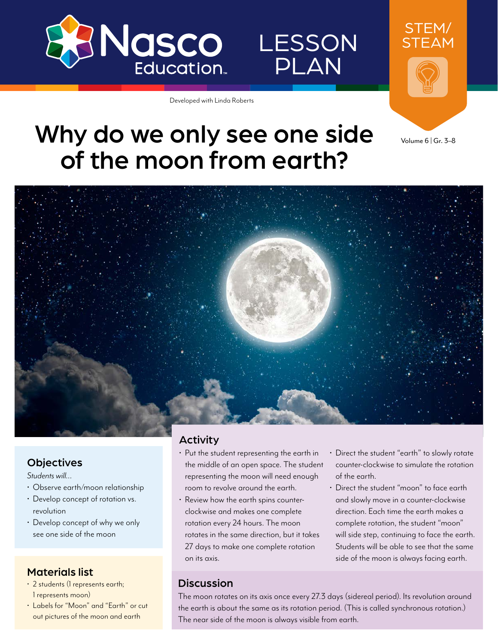

# **LESSON** PLAN

Developed with Linda Roberts



# Why do we only see one side of the moon from earth?

Volume 6 | Gr. 3–8



## **Objectives**

*Students will…*

- Observe earth/moon relationship
- Develop concept of rotation vs. revolution
- Develop concept of why we only see one side of the moon

# Materials list

- 2 students (1 represents earth; 1 represents moon)
- Labels for "Moon" and "Earth" or cut out pictures of the moon and earth

## Activity

- Put the student representing the earth in the middle of an open space. The student representing the moon will need enough room to revolve around the earth.
- Review how the earth spins counterclockwise and makes one complete rotation every 24 hours. The moon rotates in the same direction, but it takes 27 days to make one complete rotation on its axis.
- Direct the student "earth" to slowly rotate counter-clockwise to simulate the rotation of the earth.
- Direct the student "moon" to face earth and slowly move in a counter-clockwise direction. Each time the earth makes a complete rotation, the student "moon" will side step, continuing to face the earth. Students will be able to see that the same side of the moon is always facing earth.

## **Discussion**

The moon rotates on its axis once every 27.3 days (sidereal period). Its revolution around the earth is about the same as its rotation period. (This is called synchronous rotation.) The near side of the moon is always visible from earth.